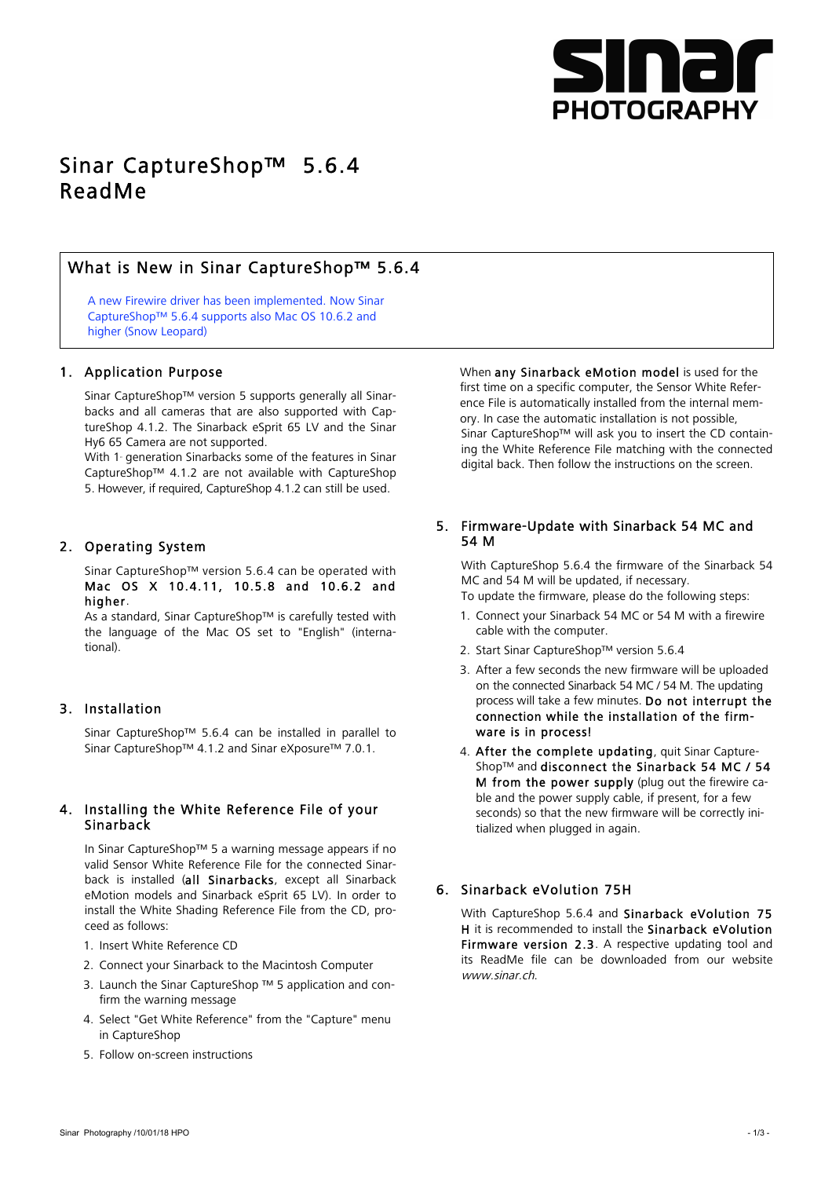

# Sinar CaptureShop™ 5.6.4 ReadMe

# What is New in Sinar CaptureShop™ 5.6.4

A new Firewire driver has been implemented. Now Sinar CaptureShop™ 5.6.4 supports also Mac OS 10.6.2 and higher (Snow Leopard)

### 1. Application Purpose

Sinar CaptureShop™ version 5 supports generally all Sinarbacks and all cameras that are also supported with CaptureShop 4.1.2. The Sinarback eSprit 65 LV and the Sinar Hy6 65 Camera are not supported.

With 1 generation Sinarbacks some of the features in Sinar CaptureShop™ 4.1.2 are not available with CaptureShop 5. However, if required, CaptureShop 4.1.2 can still be used.

### 2. Operating System

Sinar CaptureShop™ version 5.6.4 can be operated with Mac OS X 10.4.11, 10.5.8 and 10.6.2 and higher.

As a standard, Sinar CaptureShop™ is carefully tested with the language of the Mac OS set to "English" (international).

### 3. Installation

Sinar CaptureShop™ 5.6.4 can be installed in parallel to Sinar CaptureShop™ 4.1.2 and Sinar eXposure™ 7.0.1.

### 4. Installing the White Reference File of your Sinarback

In Sinar CaptureShop™ 5 a warning message appears if no valid Sensor White Reference File for the connected Sinarback is installed (all Sinarbacks, except all Sinarback eMotion models and Sinarback eSprit 65 LV). In order to install the White Shading Reference File from the CD, proceed as follows:

- 1. Insert White Reference CD
- 2. Connect your Sinarback to the Macintosh Computer
- 3. Launch the Sinar CaptureShop ™ 5 application and confirm the warning message
- 4. Select "Get White Reference" from the "Capture" menu in CaptureShop
- 5. Follow on-screen instructions

When any Sinarback eMotion model is used for the first time on a specific computer, the Sensor White Reference File is automatically installed from the internal memory. In case the automatic installation is not possible, Sinar CaptureShop™ will ask you to insert the CD containing the White Reference File matching with the connected digital back. Then follow the instructions on the screen.

### 5. Firmware-Update with Sinarback 54 MC and 54 M

With CaptureShop 5.6.4 the firmware of the Sinarback 54 MC and 54 M will be updated, if necessary. To update the firmware, please do the following steps:

- 1. Connect your Sinarback 54 MC or 54 M with a firewire cable with the computer.
- 2. Start Sinar CaptureShop™ version 5.6.4
- 3. After a few seconds the new firmware will be uploaded on the connected Sinarback 54 MC / 54 M. The updating process will take a few minutes. Do not interrupt the connection while the installation of the firmware is in process!
- 4. After the complete updating, quit Sinar Capture-Shop™ and disconnect the Sinarback 54 MC / 54 M from the power supply (plug out the firewire cable and the power supply cable, if present, for a few seconds) so that the new firmware will be correctly initialized when plugged in again.

### 6. Sinarback eVolution 75H

With CaptureShop 5.6.4 and Sinarback eVolution 75 H it is recommended to install the Sinarback eVolution Firmware version 2.3. A respective updating tool and its ReadMe file can be downloaded from our website www.sinar.ch.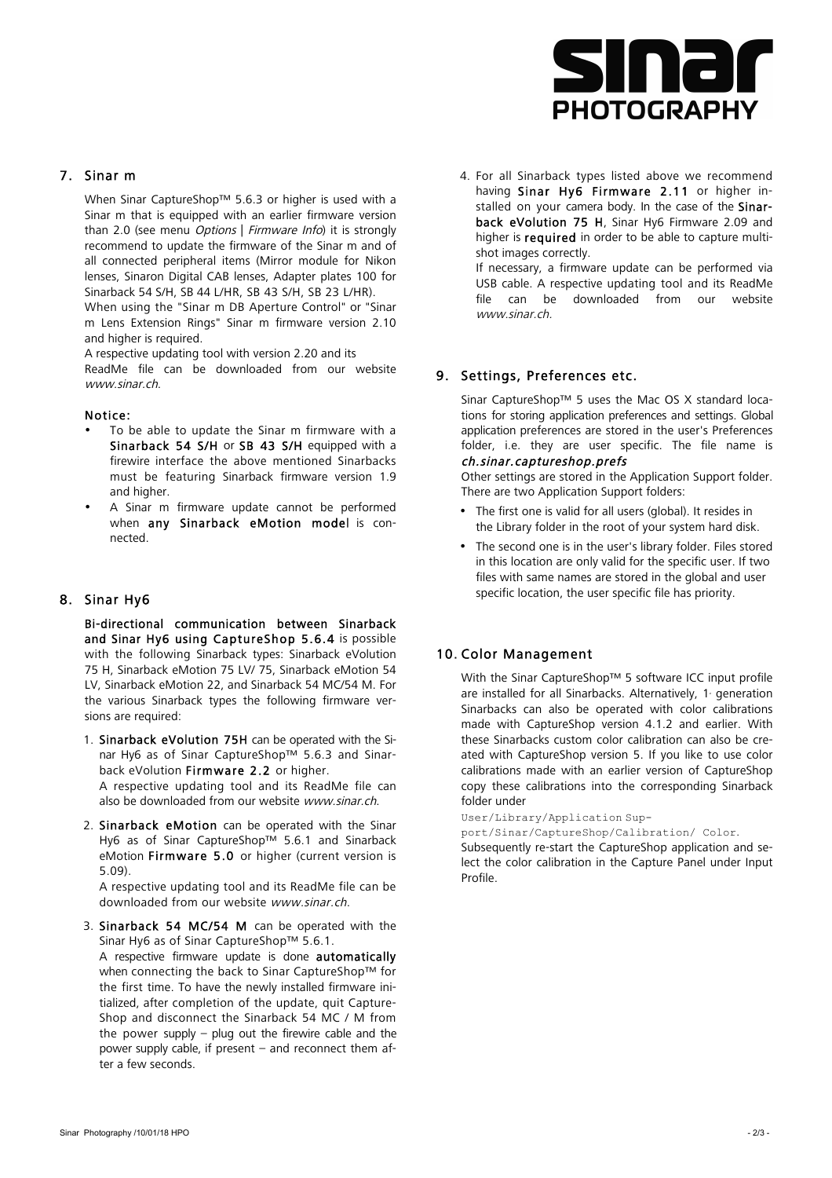

## 7. Sinar m

When Sinar CaptureShop™ 5.6.3 or higher is used with a Sinar m that is equipped with an earlier firmware version than 2.0 (see menu *Options* | Firmware Info) it is strongly recommend to update the firmware of the Sinar m and of all connected peripheral items (Mirror module for Nikon lenses, Sinaron Digital CAB lenses, Adapter plates 100 for Sinarback 54 S/H, SB 44 L/HR, SB 43 S/H, SB 23 L/HR).

When using the "Sinar m DB Aperture Control" or "Sinar m Lens Extension Rings" Sinar m firmware version 2.10 and higher is required.

A respective updating tool with version 2.20 and its

ReadMe file can be downloaded from our website www.sinar.ch

#### Notice:

- To be able to update the Sinar m firmware with a Sinarback 54 S/H or SB 43 S/H equipped with a firewire interface the above mentioned Sinarbacks must be featuring Sinarback firmware version 1.9 and higher.
- A Sinar m firmware update cannot be performed when any Sinarback eMotion model is connected.

### 8. Sinar Hy6

Bi-directional communication between Sinarback and Sinar Hy6 using CaptureShop 5.6.4 is possible with the following Sinarback types: Sinarback eVolution 75 H, Sinarback eMotion 75 LV/ 75, Sinarback eMotion 54 LV, Sinarback eMotion 22, and Sinarback 54 MC/54 M. For the various Sinarback types the following firmware versions are required:

1. Sinarback eVolution 75H can be operated with the Sinar Hy6 as of Sinar CaptureShop™ 5.6.3 and Sinarback eVolution Firmware 2.2 or higher. A respective updating tool and its ReadMe file can also be downloaded from our website www.sinar.ch.

2. Sinarback eMotion can be operated with the Sinar Hy6 as of Sinar CaptureShop™ 5.6.1 and Sinarback eMotion Firmware 5.0 or higher (current version is 5.09).

A respective updating tool and its ReadMe file can be downloaded from our website www.sinar.ch.

3. Sinarback 54 MC/54 M can be operated with the Sinar Hy6 as of Sinar CaptureShop™ 5.6.1.

A respective firmware update is done automatically when connecting the back to Sinar CaptureShop™ for the first time. To have the newly installed firmware initialized, after completion of the update, quit Capture-Shop and disconnect the Sinarback 54 MC / M from the power supply – plug out the firewire cable and the power supply cable, if present – and reconnect them after a few seconds.

4. For all Sinarback types listed above we recommend having Sinar Hy6 Firmware 2.11 or higher installed on your camera body. In the case of the Sinarback eVolution 75 H, Sinar Hy6 Firmware 2.09 and higher is required in order to be able to capture multishot images correctly.

If necessary, a firmware update can be performed via USB cable. A respective updating tool and its ReadMe file can be downloaded from our website www.sinar.ch.

### 9. Settings, Preferences etc.

Sinar CaptureShop™ 5 uses the Mac OS X standard locations for storing application preferences and settings. Global application preferences are stored in the user's Preferences folder, i.e. they are user specific. The file name is ch.sinar.captureshop.prefs

Other settings are stored in the Application Support folder. There are two Application Support folders:

- The first one is valid for all users (global). It resides in the Library folder in the root of your system hard disk.
- The second one is in the user's library folder. Files stored in this location are only valid for the specific user. If two files with same names are stored in the global and user specific location, the user specific file has priority.

#### 10. Color Management

With the Sinar CaptureShop™ 5 software ICC input profile are installed for all Sinarbacks. Alternatively, 1 generation Sinarbacks can also be operated with color calibrations made with CaptureShop version 4.1.2 and earlier. With these Sinarbacks custom color calibration can also be created with CaptureShop version 5. If you like to use color calibrations made with an earlier version of CaptureShop copy these calibrations into the corresponding Sinarback folder under

User/Library/Application Sup-

port/Sinar/CaptureShop/Calibration/ Color.

Subsequently re-start the CaptureShop application and select the color calibration in the Capture Panel under Input Profile.